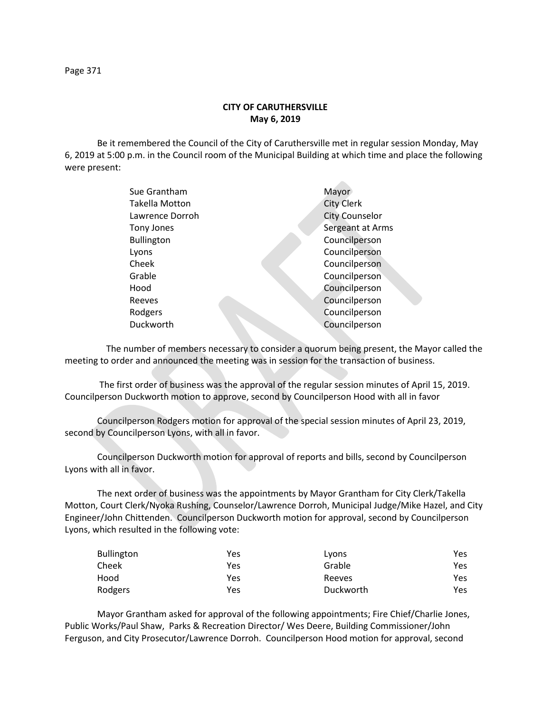## **CITY OF CARUTHERSVILLE May 6, 2019**

Be it remembered the Council of the City of Caruthersville met in regular session Monday, May 6, 2019 at 5:00 p.m. in the Council room of the Municipal Building at which time and place the following were present:

| Sue Grantham      | Mayor                 |
|-------------------|-----------------------|
| Takella Motton    | <b>City Clerk</b>     |
| Lawrence Dorroh   | <b>City Counselor</b> |
| Tony Jones        | Sergeant at Arms      |
| <b>Bullington</b> | Councilperson         |
| Lyons             | Councilperson         |
| Cheek             | Councilperson         |
| Grable            | Councilperson         |
| Hood              | Councilperson         |
| Reeves            | Councilperson         |
| Rodgers           | Councilperson         |
| Duckworth         | Councilperson         |
|                   |                       |

 The number of members necessary to consider a quorum being present, the Mayor called the meeting to order and announced the meeting was in session for the transaction of business.

The first order of business was the approval of the regular session minutes of April 15, 2019. Councilperson Duckworth motion to approve, second by Councilperson Hood with all in favor

Councilperson Rodgers motion for approval of the special session minutes of April 23, 2019, second by Councilperson Lyons, with all in favor.

Councilperson Duckworth motion for approval of reports and bills, second by Councilperson Lyons with all in favor.

The next order of business was the appointments by Mayor Grantham for City Clerk/Takella Motton, Court Clerk/Nyoka Rushing, Counselor/Lawrence Dorroh, Municipal Judge/Mike Hazel, and City Engineer/John Chittenden. Councilperson Duckworth motion for approval, second by Councilperson Lyons, which resulted in the following vote:

| Bullington | Yes | Lyons     | Yes |
|------------|-----|-----------|-----|
| Cheek      | Yes | Grable    | Yes |
| Hood       | Yes | Reeves    | Yes |
| Rodgers    | Yes | Duckworth | Yes |

Mayor Grantham asked for approval of the following appointments; Fire Chief/Charlie Jones, Public Works/Paul Shaw, Parks & Recreation Director/ Wes Deere, Building Commissioner/John Ferguson, and City Prosecutor/Lawrence Dorroh. Councilperson Hood motion for approval, second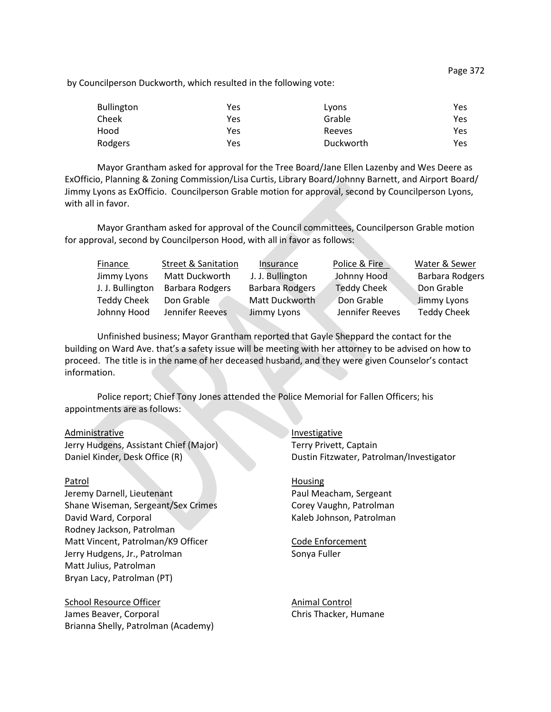by Councilperson Duckworth, which resulted in the following vote:

| <b>Bullington</b> | Yes | Lyons     | Yes |
|-------------------|-----|-----------|-----|
| Cheek             | Yes | Grable    | Yes |
| Hood              | Yes | Reeves    | Yes |
| Rodgers           | Yes | Duckworth | Yes |

Mayor Grantham asked for approval for the Tree Board/Jane Ellen Lazenby and Wes Deere as ExOfficio, Planning & Zoning Commission/Lisa Curtis, Library Board/Johnny Barnett, and Airport Board/ Jimmy Lyons as ExOfficio. Councilperson Grable motion for approval, second by Councilperson Lyons, with all in favor.

Mayor Grantham asked for approval of the Council committees, Councilperson Grable motion for approval, second by Councilperson Hood, with all in favor as follows:

| Finance            | <b>Street &amp; Sanitation</b> | Insurance              | Police & Fire      | Water & Sewer          |
|--------------------|--------------------------------|------------------------|--------------------|------------------------|
| Jimmy Lyons        | Matt Duckworth                 | J. J. Bullington       | Johnny Hood        | <b>Barbara Rodgers</b> |
| J. J. Bullington   | Barbara Rodgers                | <b>Barbara Rodgers</b> | <b>Teddy Cheek</b> | Don Grable             |
| <b>Teddy Cheek</b> | Don Grable                     | Matt Duckworth         | Don Grable         | Jimmy Lyons            |
| Johnny Hood        | Jennifer Reeves                | Jimmy Lyons            | Jennifer Reeves    | <b>Teddy Cheek</b>     |

Unfinished business; Mayor Grantham reported that Gayle Sheppard the contact for the building on Ward Ave. that's a safety issue will be meeting with her attorney to be advised on how to proceed. The title is in the name of her deceased husband, and they were given Counselor's contact information.

Police report; Chief Tony Jones attended the Police Memorial for Fallen Officers; his appointments are as follows:

Administrative Investigative Jerry Hudgens, Assistant Chief (Major) Terry Privett, Captain

Jeremy Darnell, Lieutenant **Paul Meacham, Sergeant** Paul Meacham, Sergeant Shane Wiseman, Sergeant/Sex Crimes Corey Vaughn, Patrolman David Ward, Corporal New York Corporal Kaleb Johnson, Patrolman Rodney Jackson, Patrolman Matt Vincent, Patrolman/K9 Officer Code Enforcement Jerry Hudgens, Jr., Patrolman Sonya Fuller Matt Julius, Patrolman Bryan Lacy, Patrolman (PT)

School Resource Officer Animal Control James Beaver, Corporal Chris Thacker, Humane Brianna Shelly, Patrolman (Academy)

Daniel Kinder, Desk Office (R) Dustin Fitzwater, Patrolman/Investigator

Patrol Housing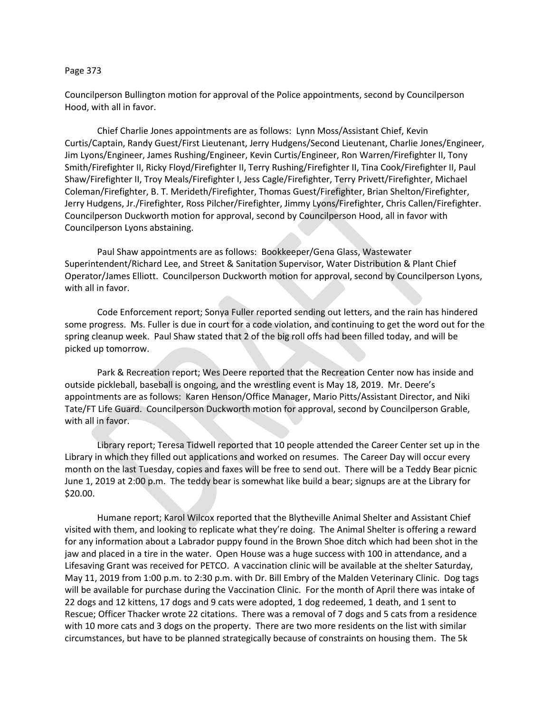## Page 373

Councilperson Bullington motion for approval of the Police appointments, second by Councilperson Hood, with all in favor.

Chief Charlie Jones appointments are as follows: Lynn Moss/Assistant Chief, Kevin Curtis/Captain, Randy Guest/First Lieutenant, Jerry Hudgens/Second Lieutenant, Charlie Jones/Engineer, Jim Lyons/Engineer, James Rushing/Engineer, Kevin Curtis/Engineer, Ron Warren/Firefighter II, Tony Smith/Firefighter II, Ricky Floyd/Firefighter II, Terry Rushing/Firefighter II, Tina Cook/Firefighter II, Paul Shaw/Firefighter II, Troy Meals/Firefighter I, Jess Cagle/Firefighter, Terry Privett/Firefighter, Michael Coleman/Firefighter, B. T. Merideth/Firefighter, Thomas Guest/Firefighter, Brian Shelton/Firefighter, Jerry Hudgens, Jr./Firefighter, Ross Pilcher/Firefighter, Jimmy Lyons/Firefighter, Chris Callen/Firefighter. Councilperson Duckworth motion for approval, second by Councilperson Hood, all in favor with Councilperson Lyons abstaining.

Paul Shaw appointments are as follows: Bookkeeper/Gena Glass, Wastewater Superintendent/Richard Lee, and Street & Sanitation Supervisor, Water Distribution & Plant Chief Operator/James Elliott. Councilperson Duckworth motion for approval, second by Councilperson Lyons, with all in favor.

Code Enforcement report; Sonya Fuller reported sending out letters, and the rain has hindered some progress. Ms. Fuller is due in court for a code violation, and continuing to get the word out for the spring cleanup week. Paul Shaw stated that 2 of the big roll offs had been filled today, and will be picked up tomorrow.

Park & Recreation report; Wes Deere reported that the Recreation Center now has inside and outside pickleball, baseball is ongoing, and the wrestling event is May 18, 2019. Mr. Deere's appointments are as follows: Karen Henson/Office Manager, Mario Pitts/Assistant Director, and Niki Tate/FT Life Guard. Councilperson Duckworth motion for approval, second by Councilperson Grable, with all in favor.

Library report; Teresa Tidwell reported that 10 people attended the Career Center set up in the Library in which they filled out applications and worked on resumes. The Career Day will occur every month on the last Tuesday, copies and faxes will be free to send out. There will be a Teddy Bear picnic June 1, 2019 at 2:00 p.m. The teddy bear is somewhat like build a bear; signups are at the Library for \$20.00.

Humane report; Karol Wilcox reported that the Blytheville Animal Shelter and Assistant Chief visited with them, and looking to replicate what they're doing. The Animal Shelter is offering a reward for any information about a Labrador puppy found in the Brown Shoe ditch which had been shot in the jaw and placed in a tire in the water. Open House was a huge success with 100 in attendance, and a Lifesaving Grant was received for PETCO. A vaccination clinic will be available at the shelter Saturday, May 11, 2019 from 1:00 p.m. to 2:30 p.m. with Dr. Bill Embry of the Malden Veterinary Clinic. Dog tags will be available for purchase during the Vaccination Clinic. For the month of April there was intake of 22 dogs and 12 kittens, 17 dogs and 9 cats were adopted, 1 dog redeemed, 1 death, and 1 sent to Rescue; Officer Thacker wrote 22 citations. There was a removal of 7 dogs and 5 cats from a residence with 10 more cats and 3 dogs on the property. There are two more residents on the list with similar circumstances, but have to be planned strategically because of constraints on housing them. The 5k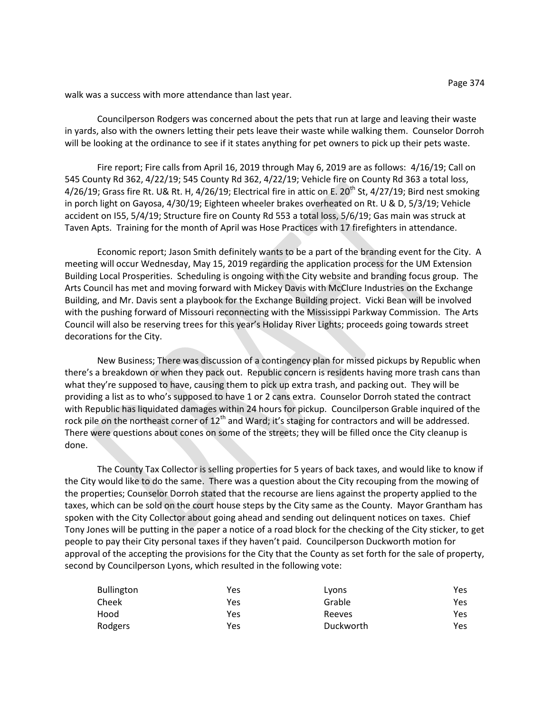walk was a success with more attendance than last year.

Councilperson Rodgers was concerned about the pets that run at large and leaving their waste in yards, also with the owners letting their pets leave their waste while walking them. Counselor Dorroh will be looking at the ordinance to see if it states anything for pet owners to pick up their pets waste.

Fire report; Fire calls from April 16, 2019 through May 6, 2019 are as follows: 4/16/19; Call on 545 County Rd 362, 4/22/19; 545 County Rd 362, 4/22/19; Vehicle fire on County Rd 363 a total loss, 4/26/19; Grass fire Rt. U& Rt. H, 4/26/19; Electrical fire in attic on E. 20<sup>th</sup> St, 4/27/19; Bird nest smoking in porch light on Gayosa, 4/30/19; Eighteen wheeler brakes overheated on Rt. U & D, 5/3/19; Vehicle accident on I55, 5/4/19; Structure fire on County Rd 553 a total loss, 5/6/19; Gas main was struck at Taven Apts. Training for the month of April was Hose Practices with 17 firefighters in attendance.

Economic report; Jason Smith definitely wants to be a part of the branding event for the City. A meeting will occur Wednesday, May 15, 2019 regarding the application process for the UM Extension Building Local Prosperities. Scheduling is ongoing with the City website and branding focus group. The Arts Council has met and moving forward with Mickey Davis with McClure Industries on the Exchange Building, and Mr. Davis sent a playbook for the Exchange Building project. Vicki Bean will be involved with the pushing forward of Missouri reconnecting with the Mississippi Parkway Commission. The Arts Council will also be reserving trees for this year's Holiday River Lights; proceeds going towards street decorations for the City.

New Business; There was discussion of a contingency plan for missed pickups by Republic when there's a breakdown or when they pack out. Republic concern is residents having more trash cans than what they're supposed to have, causing them to pick up extra trash, and packing out. They will be providing a list as to who's supposed to have 1 or 2 cans extra. Counselor Dorroh stated the contract with Republic has liquidated damages within 24 hours for pickup. Councilperson Grable inquired of the rock pile on the northeast corner of  $12<sup>th</sup>$  and Ward; it's staging for contractors and will be addressed. There were questions about cones on some of the streets; they will be filled once the City cleanup is done.

The County Tax Collector is selling properties for 5 years of back taxes, and would like to know if the City would like to do the same. There was a question about the City recouping from the mowing of the properties; Counselor Dorroh stated that the recourse are liens against the property applied to the taxes, which can be sold on the court house steps by the City same as the County. Mayor Grantham has spoken with the City Collector about going ahead and sending out delinquent notices on taxes. Chief Tony Jones will be putting in the paper a notice of a road block for the checking of the City sticker, to get people to pay their City personal taxes if they haven't paid. Councilperson Duckworth motion for approval of the accepting the provisions for the City that the County as set forth for the sale of property, second by Councilperson Lyons, which resulted in the following vote:

| <b>Bullington</b> | Yes | Lyons     | Yes |
|-------------------|-----|-----------|-----|
| Cheek             | Yes | Grable    | Yes |
| Hood              | Yes | Reeves    | Yes |
| Rodgers           | Yes | Duckworth | Yes |